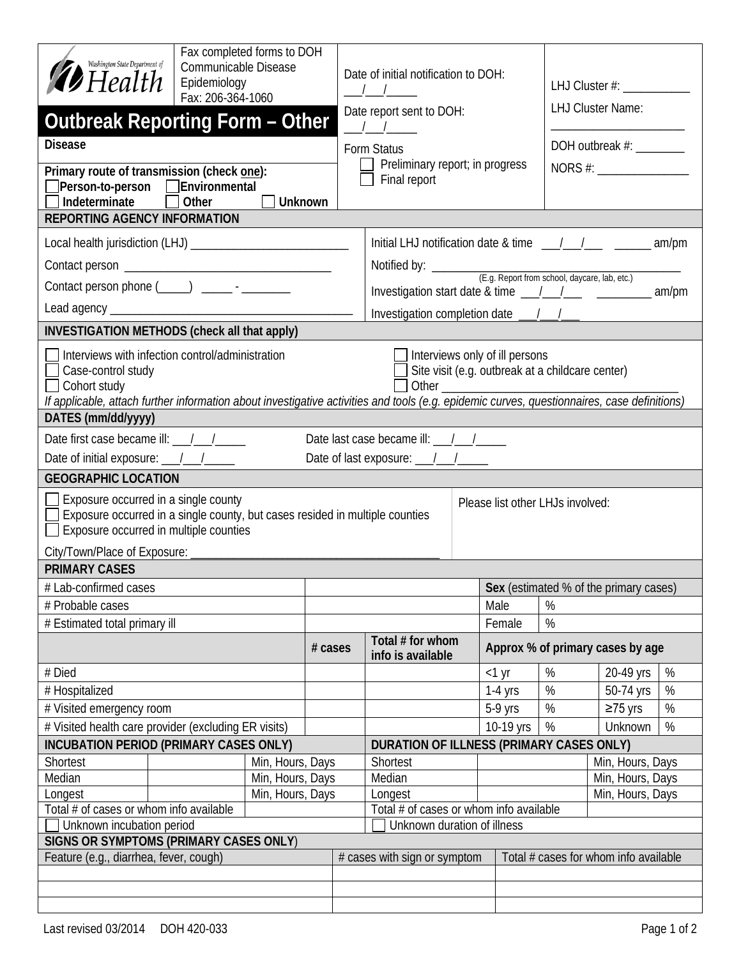| Fax completed forms to DOH<br>Washington State Department of<br>Communicable Disease<br>$\mathcal Y$ Health<br>Epidemiology<br>Fax: 206-364-1060<br><b>Outbreak Reporting Form - Other</b>                                                                                                                                                                                                                                                                                                                                                                                                                                                                                                                                                                                                                             |                  |         |  | Date of initial notification to DOH:<br>$\frac{1}{2}$ $\frac{1}{2}$ $\frac{1}{2}$ $\frac{1}{2}$ $\frac{1}{2}$ $\frac{1}{2}$ $\frac{1}{2}$ $\frac{1}{2}$ $\frac{1}{2}$ $\frac{1}{2}$ $\frac{1}{2}$ $\frac{1}{2}$ $\frac{1}{2}$ $\frac{1}{2}$ $\frac{1}{2}$ $\frac{1}{2}$ $\frac{1}{2}$ $\frac{1}{2}$ $\frac{1}{2}$ $\frac{1}{2}$ $\frac{1}{2}$ $\frac{1}{2}$<br>Date report sent to DOH:<br>$\begin{array}{ccc} \end{array}$ |                                                                        |                                  |                   | LHJ Cluster #: ______________<br><b>LHJ Cluster Name:</b> |           |   |  |  |
|------------------------------------------------------------------------------------------------------------------------------------------------------------------------------------------------------------------------------------------------------------------------------------------------------------------------------------------------------------------------------------------------------------------------------------------------------------------------------------------------------------------------------------------------------------------------------------------------------------------------------------------------------------------------------------------------------------------------------------------------------------------------------------------------------------------------|------------------|---------|--|-----------------------------------------------------------------------------------------------------------------------------------------------------------------------------------------------------------------------------------------------------------------------------------------------------------------------------------------------------------------------------------------------------------------------------|------------------------------------------------------------------------|----------------------------------|-------------------|-----------------------------------------------------------|-----------|---|--|--|
| <b>Disease</b>                                                                                                                                                                                                                                                                                                                                                                                                                                                                                                                                                                                                                                                                                                                                                                                                         |                  |         |  | Form Status                                                                                                                                                                                                                                                                                                                                                                                                                 |                                                                        |                                  |                   | DOH outbreak #:                                           |           |   |  |  |
|                                                                                                                                                                                                                                                                                                                                                                                                                                                                                                                                                                                                                                                                                                                                                                                                                        |                  |         |  | Preliminary report; in progress                                                                                                                                                                                                                                                                                                                                                                                             |                                                                        |                                  |                   |                                                           |           |   |  |  |
| Primary route of transmission (check one):<br>□ Person-to-person □ Environmental                                                                                                                                                                                                                                                                                                                                                                                                                                                                                                                                                                                                                                                                                                                                       |                  |         |  | Final report                                                                                                                                                                                                                                                                                                                                                                                                                |                                                                        |                                  |                   |                                                           |           |   |  |  |
| Indeterminate<br>Other<br><b>Unknown</b>                                                                                                                                                                                                                                                                                                                                                                                                                                                                                                                                                                                                                                                                                                                                                                               |                  |         |  |                                                                                                                                                                                                                                                                                                                                                                                                                             |                                                                        |                                  |                   |                                                           |           |   |  |  |
| <b>REPORTING AGENCY INFORMATION</b>                                                                                                                                                                                                                                                                                                                                                                                                                                                                                                                                                                                                                                                                                                                                                                                    |                  |         |  |                                                                                                                                                                                                                                                                                                                                                                                                                             |                                                                        |                                  |                   |                                                           |           |   |  |  |
|                                                                                                                                                                                                                                                                                                                                                                                                                                                                                                                                                                                                                                                                                                                                                                                                                        |                  |         |  |                                                                                                                                                                                                                                                                                                                                                                                                                             |                                                                        |                                  |                   |                                                           |           |   |  |  |
|                                                                                                                                                                                                                                                                                                                                                                                                                                                                                                                                                                                                                                                                                                                                                                                                                        |                  |         |  |                                                                                                                                                                                                                                                                                                                                                                                                                             |                                                                        |                                  |                   |                                                           |           |   |  |  |
|                                                                                                                                                                                                                                                                                                                                                                                                                                                                                                                                                                                                                                                                                                                                                                                                                        |                  |         |  |                                                                                                                                                                                                                                                                                                                                                                                                                             |                                                                        |                                  |                   |                                                           |           |   |  |  |
| Contact person phone (____) _________-                                                                                                                                                                                                                                                                                                                                                                                                                                                                                                                                                                                                                                                                                                                                                                                 |                  |         |  | Investigation start date & time __/__/___ ________________ am/pm                                                                                                                                                                                                                                                                                                                                                            |                                                                        |                                  |                   |                                                           |           |   |  |  |
|                                                                                                                                                                                                                                                                                                                                                                                                                                                                                                                                                                                                                                                                                                                                                                                                                        |                  |         |  |                                                                                                                                                                                                                                                                                                                                                                                                                             |                                                                        |                                  |                   |                                                           |           |   |  |  |
| <b>INVESTIGATION METHODS (check all that apply)</b>                                                                                                                                                                                                                                                                                                                                                                                                                                                                                                                                                                                                                                                                                                                                                                    |                  |         |  |                                                                                                                                                                                                                                                                                                                                                                                                                             |                                                                        |                                  |                   |                                                           |           |   |  |  |
| Interviews with infection control/administration<br>Interviews only of ill persons<br>Site visit (e.g. outbreak at a childcare center)<br>Case-control study<br>Cohort study<br>If applicable, attach further information about investigative activities and tools (e.g. epidemic curves, questionnaires, case definitions)                                                                                                                                                                                                                                                                                                                                                                                                                                                                                            |                  |         |  |                                                                                                                                                                                                                                                                                                                                                                                                                             |                                                                        |                                  |                   |                                                           |           |   |  |  |
| DATES (mm/dd/yyyy)                                                                                                                                                                                                                                                                                                                                                                                                                                                                                                                                                                                                                                                                                                                                                                                                     |                  |         |  |                                                                                                                                                                                                                                                                                                                                                                                                                             |                                                                        |                                  |                   |                                                           |           |   |  |  |
| Date first case became ill: $\frac{1}{\sqrt{1-\frac{1}{\sqrt{1-\frac{1}{\sqrt{1-\frac{1}{\sqrt{1-\frac{1}{\sqrt{1-\frac{1}{\sqrt{1-\frac{1}{\sqrt{1-\frac{1}{\sqrt{1-\frac{1}{\sqrt{1-\frac{1}{\sqrt{1-\frac{1}{\sqrt{1-\frac{1}{\sqrt{1-\frac{1}{\sqrt{1-\frac{1}{\sqrt{1-\frac{1}{\sqrt{1-\frac{1}{\sqrt{1-\frac{1}{\sqrt{1-\frac{1}{\sqrt{1-\frac{1}{\sqrt{1-\frac{1}{\sqrt{1-\frac{1}{\sqrt{1-\frac{$<br>Date last case became ill: $\frac{1}{\sqrt{1-\frac{1}{\sqrt{1-\frac{1}{\sqrt{1-\frac{1}{\sqrt{1-\frac{1}{\sqrt{1-\frac{1}{\sqrt{1-\frac{1}{\sqrt{1-\frac{1}{\sqrt{1-\frac{1}{\sqrt{1-\frac{1}{\sqrt{1-\frac{1}{\sqrt{1-\frac{1}{\sqrt{1-\frac{1}{\sqrt{1-\frac{1}{\sqrt{1-\frac{1}{\sqrt{1-\frac{1}{\sqrt{1-\frac{1}{\sqrt{1-\frac{1}{\sqrt{1-\frac{1}{\sqrt{1-\frac{1}{\sqrt{1-\frac{1}{\sqrt{1-\frac{1$ |                  |         |  |                                                                                                                                                                                                                                                                                                                                                                                                                             |                                                                        |                                  |                   |                                                           |           |   |  |  |
| Date of initial exposure: \[ \] \] \]                                                                                                                                                                                                                                                                                                                                                                                                                                                                                                                                                                                                                                                                                                                                                                                  |                  |         |  |                                                                                                                                                                                                                                                                                                                                                                                                                             | Date of last exposure: 11 /                                            |                                  |                   |                                                           |           |   |  |  |
| <b>GEOGRAPHIC LOCATION</b>                                                                                                                                                                                                                                                                                                                                                                                                                                                                                                                                                                                                                                                                                                                                                                                             |                  |         |  |                                                                                                                                                                                                                                                                                                                                                                                                                             |                                                                        |                                  |                   |                                                           |           |   |  |  |
| Exposure occurred in a single county<br>Please list other LHJs involved:<br>Exposure occurred in a single county, but cases resided in multiple counties<br>Exposure occurred in multiple counties<br>City/Town/Place of Exposure: ____________                                                                                                                                                                                                                                                                                                                                                                                                                                                                                                                                                                        |                  |         |  |                                                                                                                                                                                                                                                                                                                                                                                                                             |                                                                        |                                  |                   |                                                           |           |   |  |  |
| <b>PRIMARY CASES</b>                                                                                                                                                                                                                                                                                                                                                                                                                                                                                                                                                                                                                                                                                                                                                                                                   |                  |         |  |                                                                                                                                                                                                                                                                                                                                                                                                                             |                                                                        |                                  |                   |                                                           |           |   |  |  |
| # Lab-confirmed cases                                                                                                                                                                                                                                                                                                                                                                                                                                                                                                                                                                                                                                                                                                                                                                                                  |                  |         |  |                                                                                                                                                                                                                                                                                                                                                                                                                             |                                                                        |                                  |                   | Sex (estimated % of the primary cases)                    |           |   |  |  |
| # Probable cases                                                                                                                                                                                                                                                                                                                                                                                                                                                                                                                                                                                                                                                                                                                                                                                                       |                  |         |  | Male                                                                                                                                                                                                                                                                                                                                                                                                                        |                                                                        |                                  |                   | %                                                         |           |   |  |  |
| # Estimated total primary ill                                                                                                                                                                                                                                                                                                                                                                                                                                                                                                                                                                                                                                                                                                                                                                                          |                  |         |  |                                                                                                                                                                                                                                                                                                                                                                                                                             |                                                                        |                                  | Female            | %                                                         |           |   |  |  |
|                                                                                                                                                                                                                                                                                                                                                                                                                                                                                                                                                                                                                                                                                                                                                                                                                        |                  | # cases |  | Total # for whom<br>info is available                                                                                                                                                                                                                                                                                                                                                                                       |                                                                        | Approx % of primary cases by age |                   |                                                           |           |   |  |  |
| # Died                                                                                                                                                                                                                                                                                                                                                                                                                                                                                                                                                                                                                                                                                                                                                                                                                 |                  |         |  |                                                                                                                                                                                                                                                                                                                                                                                                                             |                                                                        |                                  | $<$ 1 yr          | %                                                         | 20-49 yrs | % |  |  |
| # Hospitalized                                                                                                                                                                                                                                                                                                                                                                                                                                                                                                                                                                                                                                                                                                                                                                                                         |                  |         |  |                                                                                                                                                                                                                                                                                                                                                                                                                             |                                                                        |                                  | $1-4$ yrs         | %                                                         | 50-74 yrs | % |  |  |
| # Visited emergency room                                                                                                                                                                                                                                                                                                                                                                                                                                                                                                                                                                                                                                                                                                                                                                                               |                  |         |  |                                                                                                                                                                                                                                                                                                                                                                                                                             |                                                                        |                                  | 5-9 yrs           | %                                                         | $≥75$ yrs | % |  |  |
| # Visited health care provider (excluding ER visits)                                                                                                                                                                                                                                                                                                                                                                                                                                                                                                                                                                                                                                                                                                                                                                   |                  |         |  |                                                                                                                                                                                                                                                                                                                                                                                                                             | 10-19 yrs                                                              |                                  | Unknown<br>%<br>% |                                                           |           |   |  |  |
| <b>INCUBATION PERIOD (PRIMARY CASES ONLY)</b>                                                                                                                                                                                                                                                                                                                                                                                                                                                                                                                                                                                                                                                                                                                                                                          |                  |         |  |                                                                                                                                                                                                                                                                                                                                                                                                                             | DURATION OF ILLNESS (PRIMARY CASES ONLY)                               |                                  |                   |                                                           |           |   |  |  |
| Shortest                                                                                                                                                                                                                                                                                                                                                                                                                                                                                                                                                                                                                                                                                                                                                                                                               | Min, Hours, Days |         |  |                                                                                                                                                                                                                                                                                                                                                                                                                             | Shortest                                                               |                                  |                   | Min, Hours, Days                                          |           |   |  |  |
| Median                                                                                                                                                                                                                                                                                                                                                                                                                                                                                                                                                                                                                                                                                                                                                                                                                 | Min, Hours, Days |         |  |                                                                                                                                                                                                                                                                                                                                                                                                                             | Median                                                                 |                                  |                   | Min, Hours, Days                                          |           |   |  |  |
| Min, Hours, Days<br>Longest                                                                                                                                                                                                                                                                                                                                                                                                                                                                                                                                                                                                                                                                                                                                                                                            |                  |         |  | Min, Hours, Days<br>Longest                                                                                                                                                                                                                                                                                                                                                                                                 |                                                                        |                                  |                   |                                                           |           |   |  |  |
| Total # of cases or whom info available<br>Unknown incubation period                                                                                                                                                                                                                                                                                                                                                                                                                                                                                                                                                                                                                                                                                                                                                   |                  |         |  |                                                                                                                                                                                                                                                                                                                                                                                                                             | Total # of cases or whom info available<br>Unknown duration of illness |                                  |                   |                                                           |           |   |  |  |
|                                                                                                                                                                                                                                                                                                                                                                                                                                                                                                                                                                                                                                                                                                                                                                                                                        |                  |         |  |                                                                                                                                                                                                                                                                                                                                                                                                                             |                                                                        |                                  |                   |                                                           |           |   |  |  |
| SIGNS OR SYMPTOMS (PRIMARY CASES ONLY)<br>Feature (e.g., diarrhea, fever, cough)                                                                                                                                                                                                                                                                                                                                                                                                                                                                                                                                                                                                                                                                                                                                       |                  |         |  |                                                                                                                                                                                                                                                                                                                                                                                                                             | # cases with sign or symptom                                           |                                  |                   | Total # cases for whom info available                     |           |   |  |  |
|                                                                                                                                                                                                                                                                                                                                                                                                                                                                                                                                                                                                                                                                                                                                                                                                                        |                  |         |  |                                                                                                                                                                                                                                                                                                                                                                                                                             |                                                                        |                                  |                   |                                                           |           |   |  |  |
|                                                                                                                                                                                                                                                                                                                                                                                                                                                                                                                                                                                                                                                                                                                                                                                                                        |                  |         |  |                                                                                                                                                                                                                                                                                                                                                                                                                             |                                                                        |                                  |                   |                                                           |           |   |  |  |
|                                                                                                                                                                                                                                                                                                                                                                                                                                                                                                                                                                                                                                                                                                                                                                                                                        |                  |         |  |                                                                                                                                                                                                                                                                                                                                                                                                                             |                                                                        |                                  |                   |                                                           |           |   |  |  |